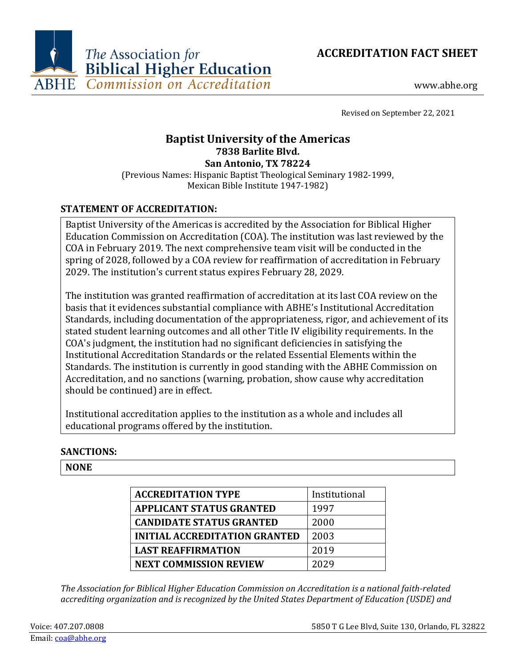



www.abhe.org

Revised on September 22, 2021

# **Baptist University of the Americas 7838 Barlite Blvd. San Antonio, TX 78224**

(Previous Names: Hispanic Baptist Theological Seminary 1982-1999, Mexican Bible Institute 1947-1982)

# **STATEMENT OF ACCREDITATION:**

Baptist University of the Americas is accredited by the Association for Biblical Higher Education Commission on Accreditation (COA). The institution was last reviewed by the COA in February 2019. The next comprehensive team visit will be conducted in the spring of 2028, followed by a COA review for reaffirmation of accreditation in February 2029. The institution's current status expires February 28, 2029.

The institution was granted reaffirmation of accreditation at its last COA review on the basis that it evidences substantial compliance with ABHE's Institutional Accreditation Standards, including documentation of the appropriateness, rigor, and achievement of its stated student learning outcomes and all other Title IV eligibility requirements. In the COA's judgment, the institution had no significant deficiencies in satisfying the Institutional Accreditation Standards or the related Essential Elements within the Standards. The institution is currently in good standing with the ABHE Commission on Accreditation, and no sanctions (warning, probation, show cause why accreditation should be continued) are in effect.

Institutional accreditation applies to the institution as a whole and includes all educational programs offered by the institution.

# **SANCTIONS:**

#### **NONE**

| <b>ACCREDITATION TYPE</b>            | Institutional |
|--------------------------------------|---------------|
| <b>APPLICANT STATUS GRANTED</b>      | 1997          |
| <b>CANDIDATE STATUS GRANTED</b>      | 2000          |
| <b>INITIAL ACCREDITATION GRANTED</b> | 2003          |
| <b>LAST REAFFIRMATION</b>            | 2019          |
| <b>NEXT COMMISSION REVIEW</b>        | 2029          |

*The Association for Biblical Higher Education Commission on Accreditation is a national faith-related accrediting organization and is recognized by the United States Department of Education (USDE) and*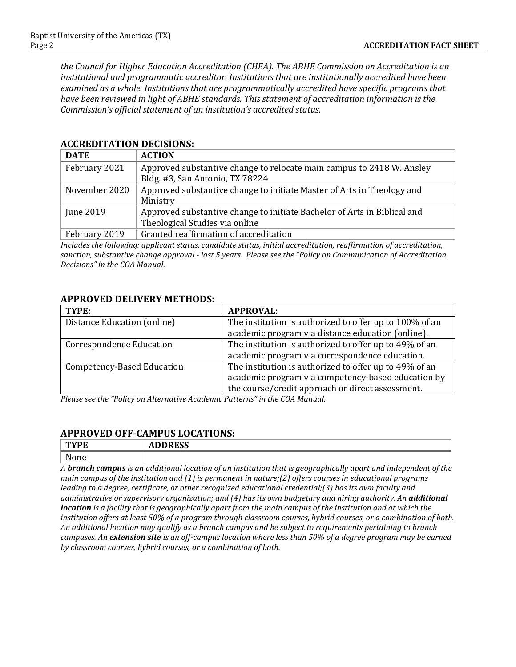*the Council for Higher Education Accreditation (CHEA). The ABHE Commission on Accreditation is an institutional and programmatic accreditor. Institutions that are institutionally accredited have been examined as a whole. Institutions that are programmatically accredited have specific programs that have been reviewed in light of ABHE standards. This statement of accreditation information is the Commission's official statement of an institution's accredited status.*

| <b>DATE</b>   | <b>ACTION</b>                                                                                              |
|---------------|------------------------------------------------------------------------------------------------------------|
| February 2021 | Approved substantive change to relocate main campus to 2418 W. Ansley<br>Bldg. #3, San Antonio, TX 78224   |
| November 2020 | Approved substantive change to initiate Master of Arts in Theology and<br>Ministry                         |
| June 2019     | Approved substantive change to initiate Bachelor of Arts in Biblical and<br>Theological Studies via online |
| February 2019 | Granted reaffirmation of accreditation                                                                     |

#### **ACCREDITATION DECISIONS:**

*Includes the following: applicant status, candidate status, initial accreditation, reaffirmation of accreditation, sanction, substantive change approval - last 5 years. Please see the "Policy on Communication of Accreditation Decisions" in the COA Manual.*

#### **APPROVED DELIVERY METHODS:**

| TYPE:                           | <b>APPROVAL:</b>                                        |
|---------------------------------|---------------------------------------------------------|
| Distance Education (online)     | The institution is authorized to offer up to 100% of an |
|                                 | academic program via distance education (online).       |
| <b>Correspondence Education</b> | The institution is authorized to offer up to 49% of an  |
|                                 | academic program via correspondence education.          |
| Competency-Based Education      | The institution is authorized to offer up to 49% of an  |
|                                 | academic program via competency-based education by      |
|                                 | the course/credit approach or direct assessment.        |

*Please see the "Policy on Alternative Academic Patterns" in the COA Manual.*

# **APPROVED OFF-CAMPUS LOCATIONS:**

| mx/mm<br>-г       | <b>BBBB00</b><br>טענ<br>1 M.P |
|-------------------|-------------------------------|
| <b>NT</b><br>,,,, |                               |

*A branch campus is an additional location of an institution that is geographically apart and independent of the main campus of the institution and (1) is permanent in nature;(2) offers courses in educational programs leading to a degree, certificate, or other recognized educational credential;(3) has its own faculty and administrative or supervisory organization; and (4) has its own budgetary and hiring authority. An additional location is a facility that is geographically apart from the main campus of the institution and at which the institution offers at least 50% of a program through classroom courses, hybrid courses, or a combination of both. An additional location may qualify as a branch campus and be subject to requirements pertaining to branch campuses. An extension site is an off-campus location where less than 50% of a degree program may be earned by classroom courses, hybrid courses, or a combination of both.*